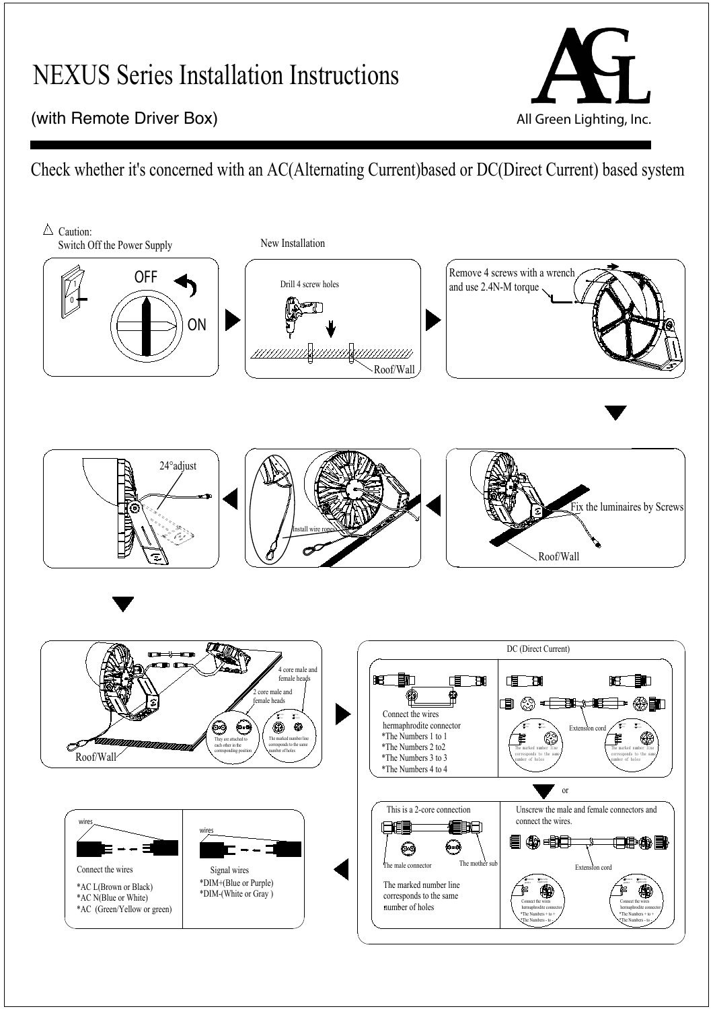## NEXUS Series Installation Instructions



## $\overline{1}$ (with Remote Driver Box) and the state of the state of the All Green Lighting, Inc.

Check whether it's concerned with an AC(Alternating Current)based or DC(Direct Current) based system